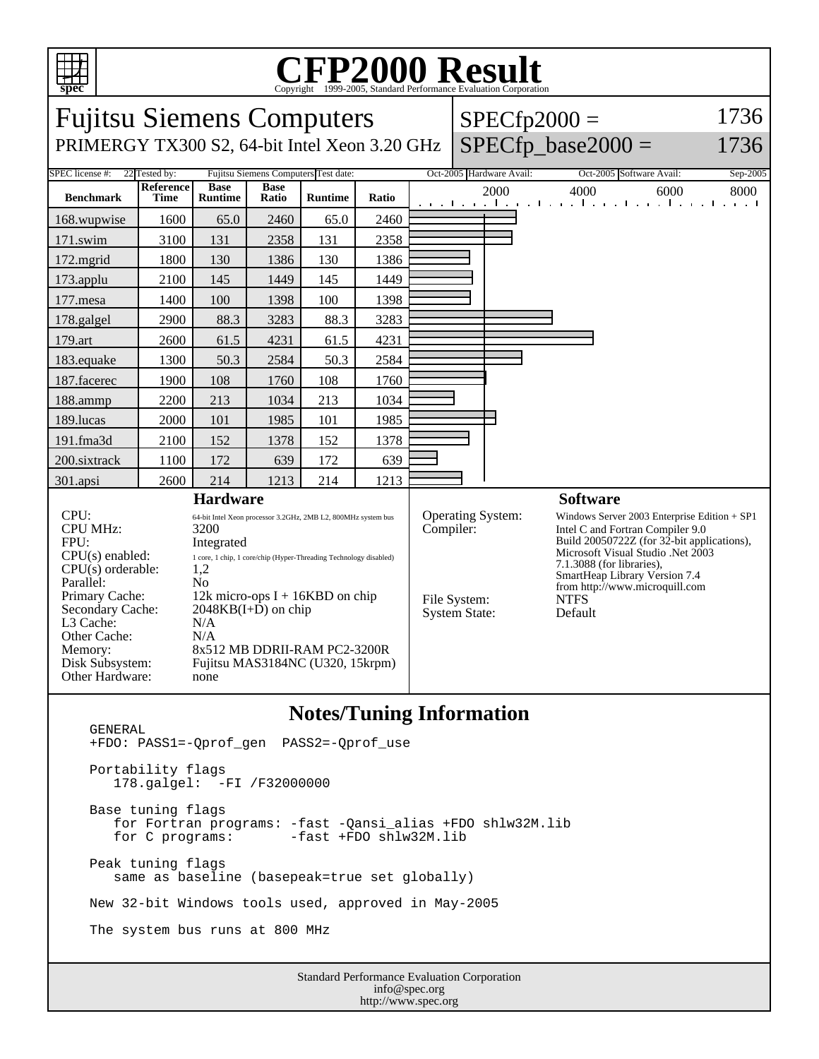

## C<sub>opyright</sub> ©1999-2005, Standard Performance Evaluation Corporation

| <b>Fujitsu Siemens Computers</b>                                                                                                                                                                           |                                                                                                                                                                                                                                                                                                                               |                               |                      |                |       |                                                                        | $SPECfp2000 =$       |                                                                                                                                                                                                                                                                                                   |                                                                 | 1736     |
|------------------------------------------------------------------------------------------------------------------------------------------------------------------------------------------------------------|-------------------------------------------------------------------------------------------------------------------------------------------------------------------------------------------------------------------------------------------------------------------------------------------------------------------------------|-------------------------------|----------------------|----------------|-------|------------------------------------------------------------------------|----------------------|---------------------------------------------------------------------------------------------------------------------------------------------------------------------------------------------------------------------------------------------------------------------------------------------------|-----------------------------------------------------------------|----------|
| PRIMERGY TX300 S2, 64-bit Intel Xeon 3.20 GHz                                                                                                                                                              |                                                                                                                                                                                                                                                                                                                               |                               |                      |                |       |                                                                        | $SPECfp\_base2000 =$ | 1736                                                                                                                                                                                                                                                                                              |                                                                 |          |
| SPEC license #:<br>22 Tested by:<br>Fujitsu Siemens Computers Test date:                                                                                                                                   |                                                                                                                                                                                                                                                                                                                               |                               |                      |                |       |                                                                        |                      | Oct-2005 Hardware Avail:                                                                                                                                                                                                                                                                          | Oct-2005 Software Avail:                                        | Sep-2005 |
| <b>Benchmark</b>                                                                                                                                                                                           | Reference<br><b>Time</b>                                                                                                                                                                                                                                                                                                      | <b>Base</b><br><b>Runtime</b> | <b>Base</b><br>Ratio | <b>Runtime</b> | Ratio |                                                                        |                      | 2000                                                                                                                                                                                                                                                                                              | 4000<br>6000<br>المتوجا وتوجا وتوجا وتوجا وتوجا وتوجا وتوجا وتو | 8000     |
| 168.wupwise                                                                                                                                                                                                | 1600                                                                                                                                                                                                                                                                                                                          | 65.0                          | 2460                 | 65.0           | 2460  |                                                                        |                      |                                                                                                                                                                                                                                                                                                   |                                                                 |          |
| 171.swim                                                                                                                                                                                                   | 3100                                                                                                                                                                                                                                                                                                                          | 131                           | 2358                 | 131            | 2358  |                                                                        |                      |                                                                                                                                                                                                                                                                                                   |                                                                 |          |
| 172.mgrid                                                                                                                                                                                                  | 1800                                                                                                                                                                                                                                                                                                                          | 130                           | 1386                 | 130            | 1386  |                                                                        |                      |                                                                                                                                                                                                                                                                                                   |                                                                 |          |
| 173.applu                                                                                                                                                                                                  | 2100                                                                                                                                                                                                                                                                                                                          | 145                           | 1449                 | 145            | 1449  |                                                                        |                      |                                                                                                                                                                                                                                                                                                   |                                                                 |          |
| 177.mesa                                                                                                                                                                                                   | 1400                                                                                                                                                                                                                                                                                                                          | 100                           | 1398                 | 100            | 1398  |                                                                        |                      |                                                                                                                                                                                                                                                                                                   |                                                                 |          |
| 178.galgel                                                                                                                                                                                                 | 2900                                                                                                                                                                                                                                                                                                                          | 88.3                          | 3283                 | 88.3           | 3283  |                                                                        |                      |                                                                                                                                                                                                                                                                                                   |                                                                 |          |
| 179.art                                                                                                                                                                                                    | 2600                                                                                                                                                                                                                                                                                                                          | 61.5                          | 4231                 | 61.5           | 4231  |                                                                        |                      |                                                                                                                                                                                                                                                                                                   |                                                                 |          |
| 183.equake                                                                                                                                                                                                 | 1300                                                                                                                                                                                                                                                                                                                          | 50.3                          | 2584                 | 50.3           | 2584  |                                                                        |                      |                                                                                                                                                                                                                                                                                                   |                                                                 |          |
| 187.facerec                                                                                                                                                                                                | 1900                                                                                                                                                                                                                                                                                                                          | 108                           | 1760                 | 108            | 1760  |                                                                        |                      |                                                                                                                                                                                                                                                                                                   |                                                                 |          |
| 188.ammp                                                                                                                                                                                                   | 2200                                                                                                                                                                                                                                                                                                                          | 213                           | 1034                 | 213            | 1034  |                                                                        |                      |                                                                                                                                                                                                                                                                                                   |                                                                 |          |
| 189.lucas                                                                                                                                                                                                  | 2000                                                                                                                                                                                                                                                                                                                          | 101                           | 1985                 | 101            | 1985  |                                                                        |                      |                                                                                                                                                                                                                                                                                                   |                                                                 |          |
| 191.fma3d                                                                                                                                                                                                  | 2100                                                                                                                                                                                                                                                                                                                          | 152                           | 1378                 | 152            | 1378  |                                                                        |                      |                                                                                                                                                                                                                                                                                                   |                                                                 |          |
| 200.sixtrack                                                                                                                                                                                               | 1100                                                                                                                                                                                                                                                                                                                          | 172                           | 639                  | 172            | 639   |                                                                        |                      |                                                                                                                                                                                                                                                                                                   |                                                                 |          |
| 301.apsi                                                                                                                                                                                                   | 2600                                                                                                                                                                                                                                                                                                                          | 214                           | 1213                 | 214            | 1213  |                                                                        |                      |                                                                                                                                                                                                                                                                                                   |                                                                 |          |
| <b>Hardware</b>                                                                                                                                                                                            |                                                                                                                                                                                                                                                                                                                               |                               |                      |                |       |                                                                        |                      |                                                                                                                                                                                                                                                                                                   | <b>Software</b>                                                 |          |
| CPU:<br><b>CPU MHz:</b><br>FPU:<br>$CPU(s)$ enabled:<br>CPU(s) orderable:<br>Parallel:<br>Primary Cache:<br>Secondary Cache:<br>L3 Cache:<br>Other Cache:<br>Memory:<br>Disk Subsystem:<br>Other Hardware: | 64-bit Intel Xeon processor 3.2GHz, 2MB L2, 800MHz system bus<br>3200<br>Integrated<br>1 core, 1 chip, 1 core/chip (Hyper-Threading Technology disabled)<br>1,2<br>No<br>12k micro-ops $I + 16KBD$ on chip<br>$2048KB(I+D)$ on chip<br>N/A<br>N/A<br>8x512 MB DDRII-RAM PC2-3200R<br>Fujitsu MAS3184NC (U320, 15krpm)<br>none |                               |                      |                |       | Operating System:<br>Compiler:<br>File System:<br><b>System State:</b> |                      | Windows Server 2003 Enterprise Edition $+$ SP1<br>Intel C and Fortran Compiler 9.0<br>Build 20050722Z (for 32-bit applications),<br>Microsoft Visual Studio .Net 2003<br>$7.1.3088$ (for libraries),<br>SmartHeap Library Version 7.4<br>from http://www.microquill.com<br><b>NTFS</b><br>Default |                                                                 |          |

## **Notes/Tuning Information**

 GENERAL +FDO: PASS1=-Qprof\_gen PASS2=-Qprof\_use Portability flags 178.galgel: -FI /F32000000 Base tuning flags for Fortran programs: -fast -Qansi\_alias +FDO shlw32M.lib  $-fast$  +FDO shlw32M.lib Peak tuning flags same as baseline (basepeak=true set globally) New 32-bit Windows tools used, approved in May-2005 The system bus runs at 800 MHz

Standard Performance Evaluation Corporation info@spec.org http://www.spec.org